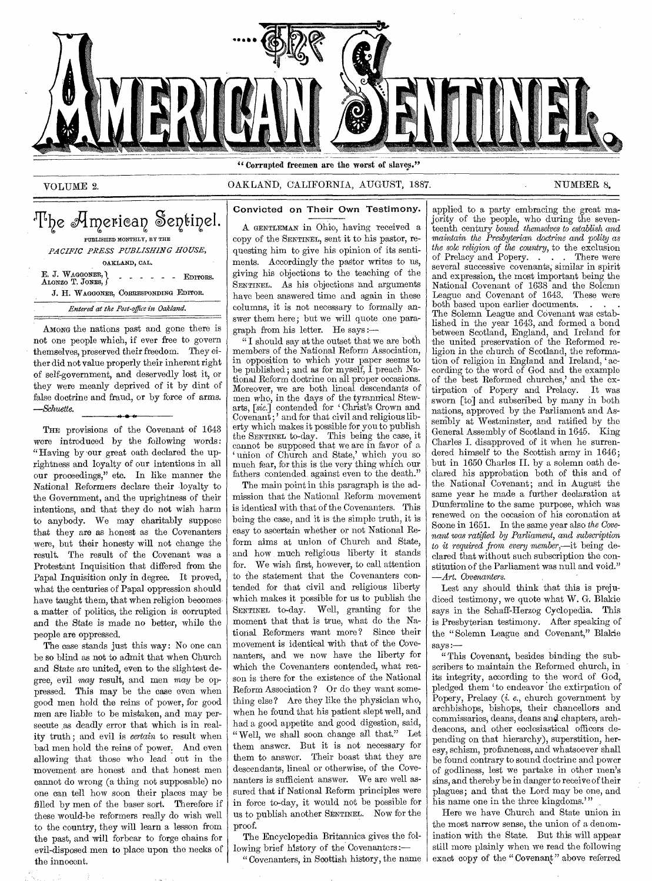

# VOLUME 2. CAKLAND, CALIFORNIA, AUGUST, 1887. NUMBER 8.

OAKLAND, CAL. E. J. WAGGONER, ) ALONZO T. JONES, J *J.* H. WAGGONER, CORRESPONDING EDITOR. - - - - - EDITORS. The American Sentinel. PUBLISHED MONTHLY, BY THE *PACIFIC PRESS PUBLISHING HOUSE, Entered at the Post-office in Oakland.* 

AMONG the nations past and gone there is not one people which, if ever free to govern themselves, preserved their freedom. They either did not value properly their inherent right of self-government, and deservedly lost it, or they were meanly deprived of it by dint of false doctrine and fraud, or by force of arms. *—,Schuette.*  ► 0 -41.

THE provisions of the Covenant of 1643 were introduced by the following words : "Having by our great oath declared the uprightness and loyalty of our intentions in all our proceedings," etc. In like manner the National Reformers declare their loyalty to the Government, and the uprightness of their intentions, and that they do not wish harm to anybody. We may charitably suppose that they are as honest as the Covenanters were, but their honesty will not change the result. The result of the Covenant was a Protestant Inquisition that differed from the Papal Inquisition only in degree. It proved, what the centuries of Papal oppression should have taught them, that when religion becomes a matter of politics, the religion is corrupted and the State is made no better, while the people are oppressed.

The case stands just this way: No one can be so blind as not to admit that when Church and State are united, even to the slightest degree, evil may result, and men may be oppressed. This may be the case even when good men hold the reins of power, for good men are liable to be mistaken, and may persecute as deadly error that which is in reality truth ; and evil is *certain* to result when bad men hold the reins of power. And even allowing that those who lead out in the movement are honest and that honest men cannot do wrong (a thing not supposable) no one can tell how soon their places may be filled by men of the baser sort. Therefore if these would-be reformers really do wish well to the country, they will learn a lesson from the past, and will forbear to forge chains for evil-disposed men to place upon the necks of the innocent.

Convicted on Their Own Testimony.

A GENTLEMAN in Ohio, having received a copy of the SENTINEL, sent it to his pastor, requesting him to give his opinion of its sentiments. Accordingly the pastor writes to us,

giving his objections to the teaching of the SENTINEL. As his objections and arguments have been answered time and again in these columns, it is not necessary to formally answer them here; but we will quote one paragraph from his letter. He *says:—* 

*"* I should say at the outset that we are both members of the National Reform Association, in opposition to which your paper seems to be published ; and as for myself, I preach National Reform doctrine on all proper occasions. Moreover, we are both lineal descendants of men who, in the days of the tyrannical Stewarts, *[sic.]* contended for Christ's Crown and  $\mathrm{Coverant}\,;$  and for that civil and religious liberty which makes it possible for you to publish the SENTINEL to-day. This being the case, it cannot be supposed that we are in favor of a union of Church and State,' which you so much fear, for this is the very thing which our fathers contended, against even to the death."

The main point in this paragraph is the admission that the National Reform movement is identical with that of the Covenanters. This being the case, and it is the simple truth, it is easy to ascertain whether or not National Reform aims at union of Church and State, and how much religious liberty it stands for. We wish first, however, to call attention to the statement that the Covenanters contended for that civil and religious liberty which makes it possible for us to publish the SENTINEL to-day. Well, granting for the moment that that is true, what do the National Reformers want more? Since their movement is identical with that of the Covenanters, and we now have the liberty for which the Covenanters contended, what reason is there for the existence of the National Reform Association ? Or do they want something else? Are they like the physician who, when he found that his patient slept well, and had a good appetite and good digestion, said, "Well, we shall soon change all that." Let them answer. But it is not necessary for them to answer. Their boast that they are descendants, lineal or otherwise, of the Covenanters is sufficient answer. We are well assured that if National Reform principles were in force to-day, it would not be possible for us to publish another SENTINEL. Now for the proof.

The Encyclopedia Britannica gives the following brief history of the Covenanters :—

"Covenanters, in Scottish history, the name

jority of the people, who during the seventeenth century *bound themselves to establish and maintain the Presbyterian doctrine and polity as the sole religion of the country,* to the exclusion of Prelacy and Popery. ... There were several successive covenants; similar in spirit and expression, the most important being the National Covenant of 1638 and the Solemn<br>League and Covenant of 1643. These were League and Covenant of 1643. both based upon earlier documents. The Solemn League and Covenant was established in the year 1643, and formed a bond between Scotland, England, and Ireland for the united preservation of the Reformed religion in the church of Scotland, the reformation of religion in England and Ireland, 'according to the word of God and the example of the best Reformed churches,' and the extirpation of Popery and Prelacy. It was sworn [to] and subscribed by many in both nations, approved by the Parliament and Assembly at Westminster, and ratified by the General Assembly of Scotland in 1645. King Charles I. disapproved of it when he surrendered himself to the Scottish army in  $1646$ ; but in 1650 Charles II. by a solemn oath declared his approbation both of this and of the National Covenant; and in August the same year he made a further declaration at Dunfermline to the same purpose, which was renewed on the occasion of his coronation at Scone in 1651. In the same year also *the Covenant was ratified by Parliament, and subscription to it required from every member,—it* being declared that without such subscription the constitution of the Parliament was null and void." *—Art. Covenanters.* 

applied to a party embracing the great ma-

Lest any should think that this is prejudiced testimony, we quote what W. G. Blakie *says* in the Schaff-Herzog Cyclopedia. This is Presbyterian testimony. After speaking of the "Solemn League and Covenant," Blakie says:

This Covenant, besides binding the subscribers to maintain the Reformed church, in its integrity, according to the word of God, pledged them to endeavor the extirpation of Popery, Prelacy (i. *e.,* church government by archbishops, bishops, their chancellors and commissaries, deans, deans and chapters, archdeacons, and other ecclesiastical officers depending on that hierarchy), superstition, heresy, schism, profaneness, and whatsoever shall be found contrary to sound doctrine and power of godliness, lest we partake in other men's sins, and thereby be in danger to receive of their plagues; and that the Lord may be one, and his name one in the three kingdoms.'"

Here we have Church and State union in the most narrow sense, the union of a denomination with the State. But this will appear still more plainly when we read the following exact copy of the "Covenant" above referred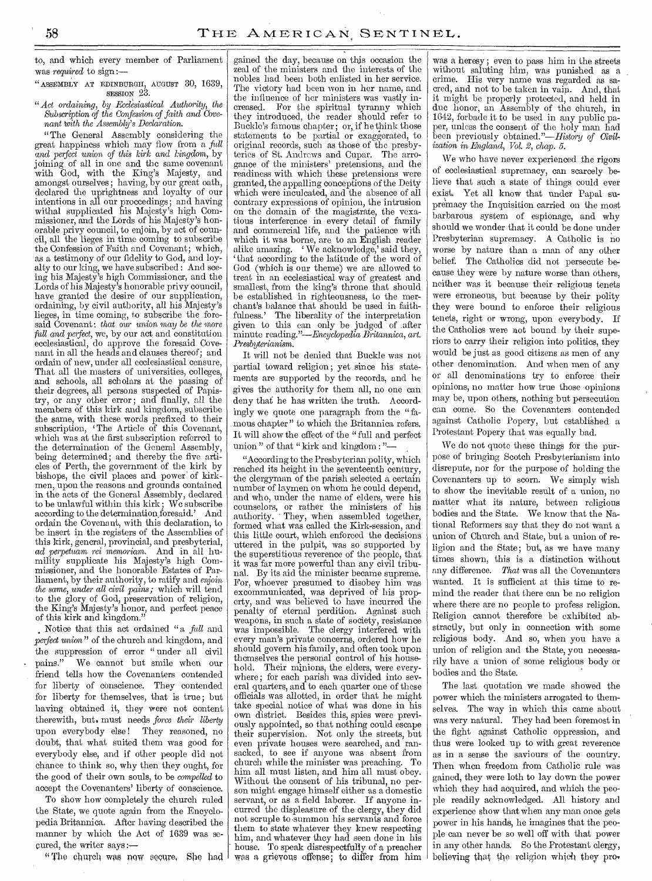to, and which every member of Parliament was *required* to sign:—

"ASSEMBLY AT EDINBURGH, AUGUST 30, 1639, SESSION 23.

### *"Act ordaining, by Ecclesiastical Authority, the Subscription of the Confession of faith and Covenant 'with the Assembly's Declaration.*

"The General Assembly considering the great happiness which may flow from a *full*  and *perfect* union of *this kirk and kingdom,* by joining of all in one and the same covenant with God, with the King's Majesty, and amongst ourselves ; having, by our great oath, declared the uprightness and loyalty of our intentions in all our proceedings; and having withal supplicated his Majesty's high Commissioner, and the Lords of his Majesty's honorable privy council, to enjoin, by act of council, all the lieges in time coming to subscribe the Confession of Faith and Covenant; which, as a testimony of our fidelity to God, and loyalty to our king, we have subscribed : And seeing his Majesty's high Commissioner, and the Lords of his Majesty's honorable privy council, have granted the desire of our supplication, ordaining, by civil authority, all his Majesty's lieges, in time coming, to subscribe the foresaid Covenant: *that our* union *may be the* more *full and perfect,* we, by our act and constitution ecclesiastical, do approve the foresaid Covenant in all the heads and clauses thereof; and ordain of new, under all ecclesiastical censure, That all the masters of universities, colleges, and schools, all scholars at the passing of their degrees, all persons suspected of Papistry, or any other error; and finally, all the members of this kirk and kingdom, subscribe the same, with these words prefixed to their subscription, The Article of this Covenant, which was at the first subscription referred to the determination of the General Assembly, being determined; and thereby the five articles of Perth, the government of the kirk by bishops, the civil places and power of kirkmen, upon the reasons and grounds contained in the acts of the General Assembly, declared to be unlawful within this kirk; We subscribe according to the determination foresaid.' And ordain the Covenant, with this declaration, to be insert in the registers of the Assemblies of this kirk, general, provincial, and presbyterial, *ad perpetuam rei memoriam.* And in all humility supplicate his Majesty's high Commissioner, and the honorable Estates of Parliament, by their authority, to ratify and enjoin *the same, under all civil pains;* which will tend to the glory of God, preservation of religion, the King's Majesty's honor, and perfect peace of this kirk and kingdom."

Notice that this act ordained "a *full* and *perfect union"* of the church and kingdom, and the suppression of error "under all civil pains." We cannot but smile when our We cannot but smile when our friend tells how the Covenanters contended for liberty of conscience. They contended for liberty for themselves, that is true; but having obtained it, they were not content therewith, but. must needs *force their liberty*  upon everybody else! They reasoned, no doubt, that what suited them was good for everybody else, and if other people did not chance to think so, why then they ought, for the good of their own souls, to be *compelled* to accept the Covenanters' liberty of conscience.

To show how completely the church ruled the State, we quote again from the Encyclopedia Britannica. After having described the manner by which the Act of 1639 was secured, the writer says :—

"The church was now secure, She had

gained the day, because on this occasion the zeal of the ministers and the interests of the nobles had been both enlisted in her service. The victory had been won in her name, and the influence of her ministers was vastly increased. For the spiritual tyranny which they introduced, the reader should refer to Buckle's famous chapter; or, if he think those statements to be partial or exaggerated, to original records, such as those of the presbyteries of St. Andrews and Cupar. The arrogance of the ministers' pretensions, and the readiness with which these pretensions were granted, the appalling conceptions of the Deity which were inculcated, and the absence of all contrary expressions of opinion, the intrusion on the domain of the magistrate, the vexatious interference in every detail of family and commercial life, and the patience with which it was borne, are to an English reader alike amazing. 'We acknowledge,' said they, that according to the latitude of the word of God (which is our theme) we are allowed to treat in an ecclesiastical way of greatest and smallest, from the king's throne that should be established in righteousness, to the merchant's balance that should be used in faith-<br>fulness.' The liberality of the interpretation The liberality of the interpretation given to this can only be judged of \_after minute *reading."—Encyclopedia Britannica, art. Presbyterianism.* 

It will not be denied that Buckle was not partial toward religion ; yet since his statements are supported by the records, and he gives the authority for them all, no one can deny that he has written the truth. Accordingly we quote one paragraph from the "famous chapter" to which the Britannica refers. It will show the effect of the " full and perfect union " of that " kirk and kingdom : "

"According to the Presbyterian polity, which reached its height in the seventeenth century, the clergyman of the parish selected a certain number of laymen on whom he could depend, and who, under the name of elders, were his counselors, or rather the ministers of his authority. They, when assembled together, formed what was called the Kirk-session, and this little court, which enforced the decisions uttered in the pulpit, was so supported by the superstitious reverence of the people, that it was far more powerful than any civil tribunal. By its aid the minister became supreme. For, whoever presumed to disobey him was excommunicated, was deprived of his property, and was believed to have incurred the penalty of eternal perdition. Against such weapons, in such a state of society, resistance was impossible. The clergy interfered\_ with every man's private concerns, ordered how he should govern his family, and often took upon themselves the personal control of his household. Their minions, the elders, were everywhere ; for each parish was divided into several quarters, and to each quarter one of these officials was allotted, in order that he might take special notice of what was done in his own district. Besides this, spies were previously appointed, so that nothing could escape their supervision. Not only the streets, but even private houses were searched, and ransacked, to see if anyone was absent from church while the minister was preaching. To him all must listen, and him all must obey. Without the consent of his tribunal, no person might engage himself either as a domestic servant, or as a field laborer. If anyone incurred the displeasure of the clergy, they did not scruple to -summon his servants and force them to state whatever they knew respecting him, and whatever they had seen done in his house. To speak disrespectfully of a preacher was a grievous offense; to differ from him

was a heresy ; even to pass him in the streets without saluting him, was punished as a crime. His very name was regarded as sacred, and not to be taken in vain. And, that it might be properly protected, and held in due honor, an Assembly of the church, in 1642, forbade it to be used in any public paper, unless the consent of the holy man had been previously obtained."—History *of Civilization in England, Vol. 2, chap. 5.* 

We who have never experienced the rigors of ecclesiastical supremacy, can scarcely believe that such a state of things could ever exist. Yet all know that under Papal supremacy the Inquisition carried on the most barbarous system of espionage, and why should we wonder that it could be done under Presbyterian supremacy. A Catholic is no worse by nature than a man of any other belief. The Catholics did not persecute because they were by nature worse than others, neither was it because their religious tenets were erroneous, but because by their polity they were bound to enforce their religious tenets, right or wrong, upon everybody. If the Catholics were not bound by their superiors to carry their religion into politics, they would be just as good citizens as men of any other denomination. And when men of any or all denominations try to enforce their opinions, no matter how true those opinions may be, upon others, nothing but persecution can come. So the Covenanters contended against Catholic Popery, but established a Protestant Popery that was equally bad.

We do not quote these things for the purpose of bringing Scotch Presbyterianism into disrepute, nor for the purpose of holding the Covenanters up to scorn. We simply wish to show the inevitable result of a union, no matter what its nature, between religious bodies and the State. We know that the National Reformers say that they do not want a union of Church and State, but a union of religion and the State; but, as we have many times shown, this is a distinction without any difference. *That* was all the Covenanters wanted. It is sufficient at this time to remind the reader that there can be no religion where there are no people to profess religion. Religion cannot therefore be exhibited abstractly, but only in connection with some religious body. And so, when you have a union of religion and the State, you necessarily have a union of some religious body or bodies and the State.

The last quotation we made showed the power which the ministers arrogated to themselves. The way in which this came about was very natural. They had been foremost in the fight against Catholic oppression, and thus were looked up to with great reverence as in a sense the saviours of the country. Then when freedom from Catholic rule was gained, they were loth to lay down the power which they had acquired, and which the people readily acknowledged. All history and experience show that when any man once gets power in his hands, he imagines that the people can never be so well off with that power in any other hands. So the Protestant clergy, believing that the religion which they pro,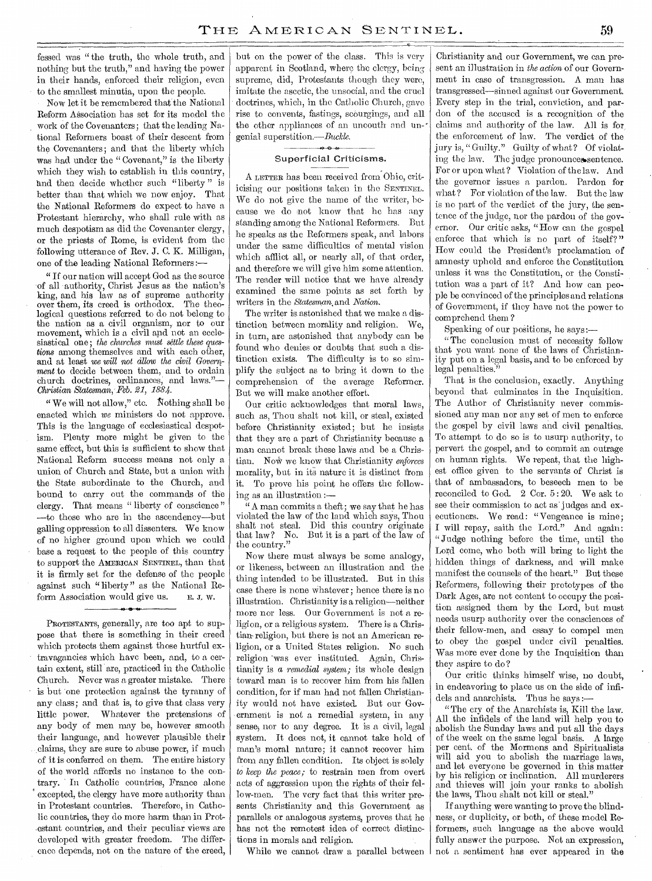fessed was " the truth, the whole truth, and nothing but the truth," and having the power in their hands, enforced their religion, even to the smallest minutia, upon the people.

Now let it be remembered that the National Reform Association has set for its model the work of the Covenanters; that the leading National Reformers boast of their descent from the Covenanters; and that the liberty which was had under the "Covenant," is the liberty which they wish to establish in this country, and then decide whether such "liberty " is better than that which we now enjoy. That the National Reformers do expect to have a Protestant hierarchy, who shall rule with as much despotism as did the Covenanter clergy, or the priests of Rome, is evident from the following utterance of Rev. J. C. K. Milligan, one of the leading National Reformers :—

" If our nation will accept God as the source of all authority, Christ Jesus as the nation's king, and his law as of supreme authority over them, its creed is orthodox. The theological questions referred to do not belong to the nation as a civil organism, nor to our movement, which is a civil and not an ecclesiastical one; *the churches must settle these questions* among themselves and with each other, and at least we *will not allow the civil Government* to decide between them, and to ordain church doctrines, ordinances; and laws."— *Christian Statesman, Feb. 21, 1884.* 

" We will not allow," etc. Nothing shall be enacted which *we* ministers do not approve. This is the language of ecclesiastical despotism. Plenty more might be given to the same effect, but this is sufficient to show that National Reform success means not only a union of Church and State, but a union with the State subordinate to the Church, and bound to carry out the commands of the clergy. That means "liberty of conscience" —to those who are in the ascendency—but galling oppression to all dissenters. We know of no higher ground upon which we could base a request to the people of this country to support the AMERICAN SENTINEL, than that it is firmly set for the defense of the people against such " liberty " as the National Reform Association would give us.  $E. J. W.$ 

PROTESTANTS, generally, are too apt to suppose that there is something in their creed which protects them against those hurtful extravagancies which have been, and, to a certain extent, still are, practiced in the Catholic Church. Never was a greater mistake. There is but one protection against the tyranny of any class; and that is, to give that class very little power. Whatever the pretensions of any body of men may be, however smooth their language, and however plausible their .claims, they are sure to abuse power, if much of it is conferred on them. The entire history of the world affords no instance to the contrary. In Catholic countries, France alone excepted, the clergy have more authority than in Protestant countries. Therefore, in Catholic countries, they do more harm than in Protestant countries, and their peculiar views are developed with greater freedom. The difference depends, not on the nature of the creed,

but on the power of the class. This is very apparent in Scotland, where the clergy, being supreme, did, Protestants though they were, imitate the ascetic, the unsocial, and the cruel doctrines, which, in the Catholic Church, gave rise to convents, fastings, scourgings, and all the other appliances of an uncouth and ungenial superstition.—Buckle.

#### *0 0*  Superficial Criticisms.

A LETTER has been received from Ohio, criticising our positions taken in the SENTINEL. We do not give the name of the writer, because we do not know that he has any standing among the National Reformers. But he speaks as the Reformers speak, and labors under the same difficulties of mental vision which afflict all, or nearly all, of that order, and therefore we will give him some attention. The reader will notice that we have already examined the same points as set forth by writers in the *Statesman,and Nation.* 

The writer is. astonished that we make a distinction between morality and religion. We, in turn, are astonished that anybody can be found who denies or doubts that such a distinction exists. The difficulty is to so simplify the subject as to bring it down to the comprehension of the average Reformer. But we will make another effort.

Our critic acknowledges that moral laws, such as, Thou shalt not kill, or steal, existed before Christianity existed; but he insists that they are a part of Christianity because a man cannot break these laWs and be a Christian. Now we know that Christianity *enforces* morality, but in its nature it is distinct from it. To prove his point he offers the following as an illustration :—

" A man commits a theft; we say that he has violated the law of the land which says, Thou shalt not steal. Did this country originate that law? No. But it is a part of the law of the country."

Now there must always be some analogy, or likeness, between an illustration and the thing intended to be illustrated. But in this case there is none whatever; hence there is no illustration. Christianity is a religion—neither more nor less. Our Government is not a religion, or a religious system. There is a Christian- religion, but there is not an American religion, or a United States religion. No such religion was ever instituted. Again, Christianity is a *remedial system;* its whole design toward man is to recover him from his fallen condition, for if man had not fallen Christianity would not have existed. But our Government is not a remedial system, in any sense; nor to any degree. It is a civil, legal system. It does not, it cannot take hold of man's moral nature; it cannot recover him from any fallen condition. Its object is solely *to keep the peace;* to restrain men from overt acts of aggression upon the rights of their fellow-men. The very fact that this writer presents Christianity and this Government as parallels or analogous systems, proves that he has not the remotest idea of correct distinctions in morals and religion.

While we cannot draw a parallel between

Christianity and our Government, we can present an illustration in *the action* of our Government in case of transgression. A man has transgressed—sinned against our Government. Every step in the trial, conviction, and pardon of the accused is a recognition of the claims and authority of the law. All is for the enforcement of law. The verdict of the jury is, " Guilty." Guilty of what? Of violating the law. The judge pronounces sentence. For or upon what ? Violation of the law. And the governor issues a pardon. Pardon for what ? For violation of the law. But the law is no part of the verdict of the jury, the sentence of the judge, nor the pardon of the governor. Our critic asks, "How can the gospel enforce that which is no part of itself?" How could the President's proclamation of amnesty uphold and enforce the Constitution unless it was the Constitution, or the Constitution was a part of it? And how can people be convinced of the principles and relations of Government, if they have not the power to comprehend them ?

Speaking of our positions, he says :-

" The conclusion must of necessity follow that you want none of the laws of Christianity put on a legal basis, and to be enforced by legal penalties."

That is the conclusion, exactly. Anything beyond that culminates in the Inquisition. The Author of Christianity never commissioned any man nor any set of men to enforce the gospel by civil laws and civil penalties. To attempt to do so is to usurp authority, to pervert the gospel, and to commit an outrage on human rights. We repeat, that the highest office given to the servants of Christ is that of ambassadors, to beseech men to be reconciled to God.  $2 \text{ Cor. } 5:20$ . We ask to see their commission to act as' judges and executioners. We read: "Vengeance is mine; I will repay, saith the Lord." And again: " Judge nothing before the time, until the Lord come, who both will bring to light the hidden things of darkness, and will make manifest the counsels of the heart." But these Reformers, following their prototypes of the Dark Ages, are not content to occupy the position assigned them by the Lord, but must needs usurp authority over the consciences of their fellow-men, and essay to compel men to obey the gospel under civil penalties. Was more ever done by the Inquisition than they aspire to do ?

Our critic thinks himself wise, no doubt, in endeavoring to place us on the side of infidels and anarchists. Thus he says :—

"The cry of the Anarchists is, Kill the law. All the infidels of the land will help you to abolish the Sunday laws and put all the days of the week on the same legal basis. A large per cent. of the Mormons and Spiritualists will aid you to abolish the marriage laws, and let everyone be governed in this matter by his religion or inclination. All murderers and thieves will join your ranks to abolish the laws, Thou shalt not kill or steal.'

If anything were wanting to prove the blindness, or duplicity, or both, of these model Reformers, such language as the above would fully answer the purpose. Not an expression, not a sentiment has ever appeared in the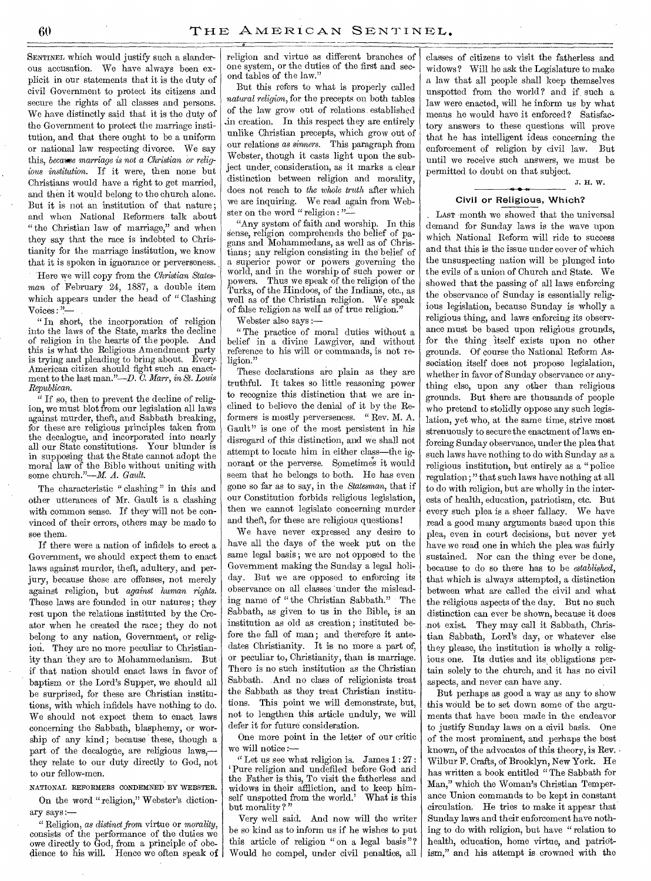SENTINEL which would justify such a slanderous accusation. We have always been explicit in our statements that it is the duty of civil Government to protect its citizens and secure the rights of all classes and persons. We have distinctly said that it is the duty of the Government to protect the marriage institution, and that there ought to be a uniform or national law respecting divorce. We say this, *became marriage is not a Christian or religious institution.* If it were, then none but Christians would have a right to get married, and then it would belong to the church alone. But it is not an institution of that nature ; and when National Reformers talk about "the Christian law of marriage," and when they say that the race is indebted to Christianity for the marriage institution, we know that it is spoken in ignorance or perverseness.

Here we will copy from the *Christian Statesman* of February 24, 1887, a double item which appears under the head of " Clashing Voices : "—

" In short, the incorporation of religion into the laws of the State, marks the decline of religion in the hearts of the people. And this is what the Religious Amendment party is trying and pleading to bring about. Every. American citizen should fight such an enactment to the last man."—D. *C. Marr, in St. Louis Republican.* 

" If so, then to prevent the decline of religion, we must blot from our legislation all laws against murder, theft, and Sabbath breaking, for these are religious principles taken from the decalogue, and incorporated into nearly all our State constitutions. Your blunder is in supposing that the State cannot adopt the moral law of the Bible without uniting with some church."—M. *A. Gault.* 

The characteristic " clashing" in this and other utterances of Mr. Gault is a clashing with common sense. If they will not be convinced of their errors, others may be made to see them.

If there were a nation of infidels to erect a Government, we should expect them to enact laws against murder, theft, adultery, and perjury, because these are offenses, not merely against religion, but *against human rights.*  These laws are founded in our natures; they rest upon the relations instituted by the Creator when he created the race; they do not belong to any nation, Government, or religion. They are no more peculiar to Christianity than they are to Mohammedanism. But if that nation should enact laws in favor of baptism or the Lord's Supper, we should all be surprised, for these are Christian institutions, with which infidels have nothing to do. We should not expect them to enact laws concerning the Sabbath, blasphemy, or worship of any kind ; because these, though a part of the decalogue, are religious laws,they relate to our duty directly to God, not to our fellow-men.

#### NATIONAL REFORMERS CONDEMNED BY WEBSTER.

On the word " religion," Webster's dictionary says:—

" Religion, *as distinct from* virtue or *morality,*  consists of the performance of the duties we owe directly to God, from a principle of obedience to his will. Hence we often speak of

religion and virtue as different branches of one system, or the duties of the first and second tables of the law."

But this refers to what is properly called *natural religion,* for the precepts on both tables of the law grow out of relations established .in creation. In this respect they are entirely unlike Christian precepts, which grow out of our relations *as sinners.* This paragraph from Webster, though it casts light upon the subject under, consideration, as it marks a clear distinction between religion and morality, does not reach to *the whole truth* after which we are inquiring. We read again from Webster on the word " religion : "-

"Any system of faith and worship. In this sense, religion comprehends the belief of pagans and Mohammedans, as well as of Christians; any religion consisting in the belief of a superior power or powers governing the world, and in the worship of such power or powers. Thus we speak of the religion of the Turks, of the Hindoos, of the Indians, etc., as well as of the Christian religion. We speak of false religion as well as of true religion."

Webster also says :—

" The practice of moral duties without a belief in a divine Lawgiver, and without reference to his will or commands, is not religion."

These declarations are plain as they are truthful. It takes so little reasoning power to recognize this distinction that we are inclined to believe the denial of it by the Reformers is mostly perverseness. " Rev. M. A. Gault" is one of the most persistent in his disregard of this distinction, and we shall not attempt to locate him in either class—the ignorant or the perverse. Sometimes it would seem that he belongs to both. He has even gone so far as to say, in the *Statesman,* that if our Constitution forbids religious legislation, then we cannot legislate concerning murder and theft, for these are religious questions!

We have never expressed any desire to have all the days of the week put on the same legal basis; we are not opposed to the Government making the Sunday a legal holiday. But we are opposed to enforcing its observance on all classes 'under the misleading name of "the Christian Sabbath." The Sabbath, as given to us in the Bible, is an institution as old as creation ; instituted before the fall of man; and therefore it antedates Christianity. It is no more a part of, or peculiar to, Christianity, than is marriage. There is no such institution as the Christian Sabbath. And no class of religionists treat the Sabbath as they treat Christian institutions. This point we will demonstrate, but, not to lengthen this article unduly, we will defer it for future consideration.

One more point in the letter of our critic we will notice :—

" Let us see what religion is. James  $1:27:$ Pure religion and undefiled before God and the Father is this, To visit the fatherless and widows in their affliction, and to keep himself unspotted from the world.' What is this but morality?"

Very well said. And now will the writer be so kind as to inform us if he wishes to put this article of religion " on a legal basis "? Would he compel, under civil penalties, all

classes of citizens to visit the fatherless and widows? Will he ask the Legislature to make a law that all people shall keep themselves unspotted from the world? and if such a law were enacted, will he inform us by what means he would have it enforced ? Satisfactory answers to these questions will prove that he has intelligent ideas concerning the enforcement of religion by civil law. But until we receive such answers, we must be permitted to doubt on that subject.

J. H. W.

### Civil or Religious, Which?

LAST month we showed that the universal demand for Sunday laws is the wave upon which National Reform will ride to success and that this is the issue under cover of which the unsuspecting nation will be plunged into the evils of a union of Church and State. We showed that the passing of all laws enforcing the observance of Sunday is essentially religious legislation, because Sunday is wholly a religious thing, and laws enforcing its observance must be based upon religious grounds, for the thing itself exists upon no other grounds. Of course the National Reform Association itself does not propose legislation, whether in favor of Sunday observance or anything else, upon any other than religious grounds. But there are thousands of people who pretend to stolidly oppose any such legislation, yet who, at the same time, strive most strenuously to secure the enactment of laws enforcing Sunday observance, under the plea that such laws have nothing to do with Sunday as a religious institution, but entirely as a "police regulation ; " that such laws have nothing at all to do with religion, but are wholly in the interests of health, education, patriotism, etc. But every such plea is a sheer fallacy. We have read a good many arguments based upon this plea, even in court decisions, but never yet have we read one in which the plea was fairly sustained. Nor can the thing ever be done, because to do so there has to be *established,*  that which is always attempted, a distinction between what are called the civil and what the religious aspects of the day. But no such distinction can ever be shown, because it does not exist. They may call it Sabbath, Christian Sabbath, Lord's day, or whatever else they please, the institution is wholly a religious one. Its duties and its obligations pertain solely to the church, and it has no civil aspects, and never can have any.

But perhaps as good a way as any to show this would be to set down some of the arguments that have been made in the endeavor to justify Sunday laws on a civil basis. One of the most prominent, and perhaps the best known, of the advocates of this theory, is Rev. - Wilbur F. Crafts, of Brooklyn, New York. He has written a book entitled "The Sabbath for Man," which the Woman's Christian Temperance Union commands to be kept in constant circulation. He tries to make it appear that Sunday laws and their enforcement have nothing to do with religion, but have " relation to health, education, home virtue, and patriotism," and his attempt is crowned with the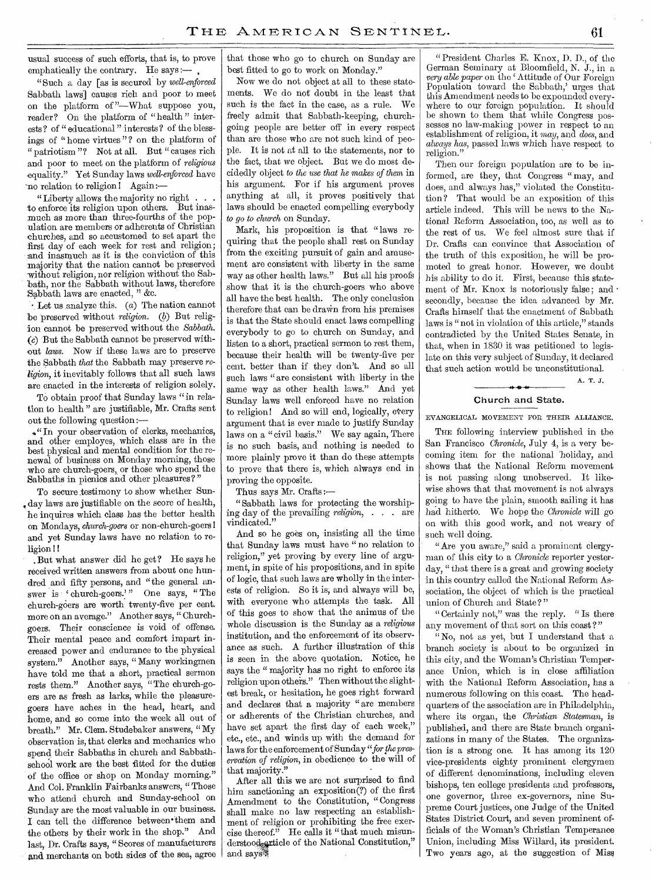usual success of such efforts, that is, to prove emphatically the contrary. He says :—

"Such a day [as is secured by *well-enforced*  Sabbath laws] causes rich and poor to meet on the platform of "—What suppose you, reader? On the platform of " health " interests? of " educational " interests? of the blessings of " home virtues "? on the platform of " patriotism"? Not at all. But " causes rich and poor to meet on the platform of *religious*  equality." Yet Sunday laws *well-enforced* have 'no relation to religion 1 Again:—

" Liberty allows the majority no right . . . to enforce its religion upon others. But inasmuch as more than three-fourths of the population are members or adherents of Christian churches, and so accustomed to set apart the first day of each week for rest and religion; and inasmuch as it is the conviction of this majority that the nation cannot be preserved without religion, nor religion without the Sabbath, nor the Sabbath without laws, therefore Sabbath laws are enacted,  $x$  &c.

• Let us analyze this. (a) The nation cannot be preserved without *religion.* (b) But religion cannot be preserved without the *Sabbath. (c)* But the Sabbath cannot be preserved without *laws. Now* if these laws are to preserve the Sabbath *that* the Sabbath may preserve *religion,* it inevitably follows that all such laws are enacted in the interests of religion solely.

To obtain proof that Sunday laws "in relation to health" are justifiable, Mr. Crafts sent out the following question :-

4" In your observation of clerks, mechanics, and other employes, which class are in the best physical and mental condition for the renewal of business on Monday morning, those who are church-goers, or those who spend the Sabbaths in picnics and other pleasures?"

To secure testimony to show whether Sun-, day laws are justifiable on the score of health, he inquires which class has the better health on Mondays, *church-goers* or non-church-goers and yet Sunday laws have no relation to religion !I

. But what answer did he get? He says he received written answers from about one hundred and fifty persons, and "the general answer is ' church-goers.'" One says, "The church-goers are worth twenty-five per cent. more on an average." Another says, " Churchgoers. Their conscience is void of offense. Their mental peace and comfort impart increased power and endurance to the physical system." Another says, " Many workingmen have told me that a short, practical sermon rests them." Another *says, "The* church-goers are as fresh as larks, while the pleasuregoers have aches in the head, heart, and home, and so come into the week all out of breath." Mr. Clem. Studebaker answers, " My observation is, that clerks and mechanics who spend their Sabbaths in church and Sabbathschool work are the best fitted for the duties of the office or shop on Monday morning." And Col. Franklin Fairbanks answers, " Those who attend church and Sunday-school on Sunday are the most valuable in our business. I can tell the difference between them and the others by their work in the shop." And last, Dr. Crafts says, " Scores of manufacturers and merchants on both sides of the sea, agree

that those who go to church on Sunday are best fitted to go to work on Monday."

Now we do not object at all to these statements. We do not doubt in the least that such is the fact in the case, as a rule. We freely admit that Sabbath-keeping, churchgoing people are better off in every respect than are those who are not such kind of people. It is not at all to the statements, nor to the fact, that we object. But we do most decidedly object *to the use that he makes of them* in his argument. For if his argument proves anything at all, it proves positively that laws should be enacted compelling everybody *to go to church* on Sunday.

Mark, his proposition is that "laws requiring that the people shall rest on Sunday from the exciting pursuit of gain and amusement are consistent with liberty in the same way as other health laws." But all his proofs show that it is the church-goers who above all have the best health. The only conclusion therefore that can be drawn from his premises is that the State should enact laws compelling everybody to go to church on Sunday, and listen to a short, practical sermon to rest them, because their health will be twenty-five per cent. better than if they don't. And so all such laws "are consistent with liberty in the same way as other health laws." And yet Sunday laws well enforced have no relation to religion! And so will end, logically, every argument that is ever made to justify Sunday laws on a "civil basis." We say again, There is no such basis, and nothing is needed to more plainly prove it than do these attempts to prove that there is, which always end in proving the opposite.

Thus says Mr. Crafts:—

"Sabbath laws for protecting the worshiping day of the prevailing *religion, . . .* are vindicated."

And so he goes on, insisting all the time that Sunday laws must have " no relation to religion," yet proving by every line of argument, in spite of his propositions, and in spite of logic, that such laws are wholly in the interests of religion. So it is; and always will be, with everyone who attempts the task. All of this goes to show that the animus of the whole discussion is the Sunday as a *religious*  institution, and the enforcement of its observance as such. A further illustration of this is seen in the above quotation. Notice, he says the " majority has no right to enforce its religion upon otheis." Then without the slightest break, or hesitation, he goes right forward and declares that a majority " are members or adherents of the Christian churches, and have set apart the first day of each week," etc., etc., and winds up with the demand for laws for the enforcement of Sunday *"for the preservation of religion,* in obedience to the will of that majority.'

After all this we are not surprised to find him sanctioning an exposition(?) of the first Amendment to the Constitution, " Congress shall make no law respecting an establishment of religion or prohibiting the free exercise thereof." He calls it "that much misunderstood article of the National Constitution," and says

" President Charles E. Knox, D. D., of the German Seminary at Bloomfield, N. J., in a *very able paper* on the ' Attitude of Our Foreign Population toward the Sabbath,' urges that this Amendment needs to be expounded everywhere to our foreign population. It should be shown to them that while Congress possesses no law-making power in respect to an establishment of religion, it may, and *does,* and *always has,* passed laws which have respect to religion."

Then our foreign population are to be informed, are they, that Congress " may, and does, and always has," violated the Constitution? That would be an exposition of this article indeed. This will be news to the National Reform Association, too, as well as to the rest of us. We feel almost sure that if Dr. Crafts can convince that Association of the truth of this exposition, he will be promoted to great honor. However, we doubt his ability to do it. First, because this statement of Mr. Knox is notoriously false; and  $\cdot$ secondly, because the idea advanced by Mr. Crafts himself that the enactment of Sabbath laws is " not in violation of this article," stands contradicted by the United States Senate, in that, when in 1830 it was petitioned to legislate on this very subject of Sunday, it declared that such action would be unconstitutional.

A. T. J.

# Church and State.

EVANGELICAL MOVEMENT FOR THEIR ALLIANCE.

**e 46.** 

THE following interview published in the San Francisco *Chronicle,* July 4, is a very becoming item for the national 'holiday, and shows that the National Reform movement is not passing along unobserved. It likewise shows that that movement is not always going to have the plain, smooth sailing it has had hitherto. We hope the *Chronicle* will go on with this good work, and not weary of such well doing.

"Are you aware," said a prominent clergyman of this city to a *Chronicle* reporter yesterday, " that there is a great and growing society in this country called the National Reform Association, the object of which is the practical union of Church and State?"

"Certainly not," was the reply. "Is there any movement of that sort on this coast?"

" No, not as yet, but I understand that a branch society is about to be organized in this city, and the Woman's Christian Temperance Union, which is in close affiliation with the National Reform Association, has a numerous following on this coast. The headquarters of the association are in Philadelphia, where its organ, the *Christian Statesman,* is published, and there are State branch organizations in many of the States. The organization is a strong one. It has among its 120 vice-presidents eighty prominent clergymen of different denominations, including eleven bishops, ten college presidents and professors, one governor, three ex-governors, nine Supreme Court justices, one Judge of the United States District Court, and seven prominent officials of the Woman's Christian Temperance Union, including Miss Willard, its president. Two years ago, at the suggestion of Miss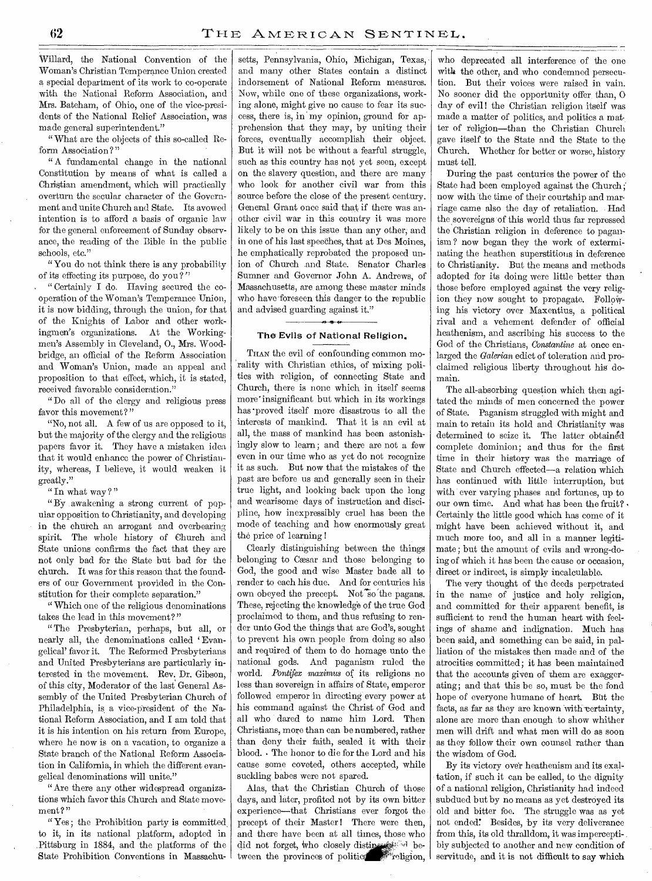Willard, the National Convention of the Woman's Christian Temperance Union created a special department of its work to co-operate with the National Reform Association, and Mrs. Bateham, of Ohio, one of the vice-presidents of the National Relief Association, was made general superintendent."

" What are the objects of this so-called Reform Association?"

" A fundamental change in the national Constitution by means of what is called a Christian amendment, which will practically overturn the secular character of the Government and unite Church and State. Its avowed intention is to afford a basis of organic law for the general enforcement of Sunday observance, the reading of the Bible in the public schools, etc."

"You do not think there is any probability of its effecting its purpose, do you ? "

" Certainly I do. Having secured the cooperation of the Woman's Temperance Union, it is now bidding, through the union, for that of the Knights of Labor and other workingmen's organizations. At the Workingmen's Assembly in Cleveland, 0., Mrs. Woodbridge, an official of the Reform Association and Woman's Union, made an appeal and proposition to that effect, which, it is stated, received favorable consideration."

"Do all of the clergy and religious press favor this movement?"

"No, not all. A few of us are opposed to it, but the majority of the clergy and the religious papers favor it. They have a mistaken idea that it would enhance the power of Christianity, whereas, I believe, it would weaken it greatly."

" In what way ? "

" BY awakening a strong current of popular opposition to Christianity, and developing in the church an arrogant and overbearing spirit. The whole history of Church and State unions confirms the fact that they are not only bad for the State but bad for the church. It was for this reason that the founders of our Government provided in the Constitution for their complete separation."

" Which one of the religious denominations takes the lead in this movement?"

"The Presbyterian, perhaps, but all, or nearly all, the denominations called 'Evangelical' favor it. The Reformed Presbyterians and United Presbyterians are particularly interested in the movement. Rev. Dr. Gibson, of this city, Moderator of the last General Assembly of the United Presbyterian Church of Philadelphia, is a vice-president of the National Reform Association, and I am told that it is his intention on his return from Europe, where he now is on a vacation, to organize a State branch of the National Reform Association in California, in which the different evangelical denominations will unite."

"Are there any other widespread organizations which favor this Church and State movement?"

"Yes; the Prohibition party is committed to it, in its national platform, adopted in .Pittsburg in 1884, and the platforms of the State Prohibition Conventions in Massachusetts, Pennsylvania, Ohio, Michigan, Texas, and many other States contain a distinct indorsement of National Reform measures. Now, while one of these organizations, working alone, might give no cause to fear its success, there is, in my opinion, ground for apprehension that they may, by uniting their forces, eventually accomplish their object. But it will not be without a fearful struggle, such as this country has not yet seen, except on the slavery question, and there are many who look for another civil war from this source before the close of the present century. General Grant once said that if there was another civil war in this country it was more likely to be on this issue than any other, and in one of his last speeches, that at Des Moines, he emphatically reprobated the proposed union of Church and State. Senator Charles Sumner and Governor John A. Andrews, of Massachusetts, are among these master minds who have foreseen this danger to the republic and advised guarding against it."

# The Evils of National Religion.

THAN the evil of confounding common morality with Christian ethics, of mixing politics with religion, of connecting State and Church, there is none which in itself seems more' insignificant but which in its workings has -proved itself more disastrous to all the interests of mankind. That it is an evil at all, the mass of mankind has been astonishingly slow to learn; and there are not a few even in our time who as yet do not recognize it as such. But now that the mistakes of the past are before us and generally seen in their true light, and looking back upon the long and wearisome days of instruction and discipline, how inexpressibly cruel has been the mode of teaching and how enormously great the price of learning !

Clearly distinguishing between the things belonging to Cesar and those belonging to God, the good and wise Master bade all to render to each his due. And for centuries his own obeyed the precept. Not so the pagans. These, rejecting the knowledge of the true God proclaimed to them, and thus refusing to render unto God the things that are God's, sought to prevent his own people from doing so also and required of them to do homage unto the national gods. And paganism ruled the world. Pontifex maximus of its religions no less than sovereign in affairs of State, emperor followed emperor in directing every power at his command against the Christ of God and all who dared to name him Lord. Then Christians, more than can be numbered, rather than deny their faith, sealed it with their blood. • The honor to die for the Lord and his cause some coveted, others accepted, while suckling babes were not spared.

Alas, that the Christian Church of those days, and later, profited not by its own bitter experience—that Christians ever forgot the precept of their Master! There were then, and there have been at all times, those who did not forget, who closely distines all between the provinces of politics religion,

who deprecated all interference of the one with the other, and who condemned persecution. But their voices were raised in vain. No sooner did the opportunity offer than, 0 day of evil! the Christian religion itself was made a matter of politics, and politics a matter of religion—than the Christian Church gave itself to the State and the State to the Church. Whether for better or worse, history must tell.

During the past centuries the power of the State had been employed against the Church; now with the time of their courtship and marriage came also the day of retaliation. Had the sovereigns of this world thus far repressed the Christian religion in deference to paganism ? now began they the work of exterminating the heathen superstitions in deference to Christianity. But the means and methods adopted for its doing were little better than those before employed against the very religion they now sought to propagate. Following his victory over Maxentius, a political rival and a vehement defender of official heathenism, and ascribing his success to the God of the Christians, *Constantine* at once enlarged the *Galerian* edict of toleration and proclaimed religious liberty throughout his domain.

The all-absorbing question which then agitated the minds of men concerned the power of State. Paganism struggled with might and main to retain its hold and Christianity was determined to seize it. The latter obtained complete dominion; and thus for the first time in their history was the marriage of State and Church effected—a relation which has continued with little interruption, but with ever varying phases and fortunes, up to our own time. And what has been the fruit? • Certainly the little good which has come of it might have been achieved without it, and much more too, and all in a manner legitimate ; but the amount of evils and wrong-doing of which it has been the cause or occasion, direct or indirect, is simply incalculable.

The very thought of the deeds perpetrated in the name of justice and holy religion, and committed for their apparent benefit, is sufficient to rend the human heart with feelings of shame and indignation. Much has been said, and something can be said, in palliation of the mistakes then made and of the atrocities committed; it has been maintained that the accounts given of them are exaggerating; and that this be so, must be the fond hope of everyone humane of heart. But the facts, as far as they are known with certainty, alone are more than enough to show whither men will drift and what men will do as soon as they follow their own counsel rather than the wisdom of God.

By its victory over heathenism and its exaltation, if such it can be called, to the dignity of a national religion, Christianity had indeed subdued but by no means as yet destroyed its old and bitter foe. The struggle was as yet not ended: Besides, by its very deliverance from this, its old thralldom, it was imperceptibly subjected to another and new condition of servitude, and it is not difficult to say which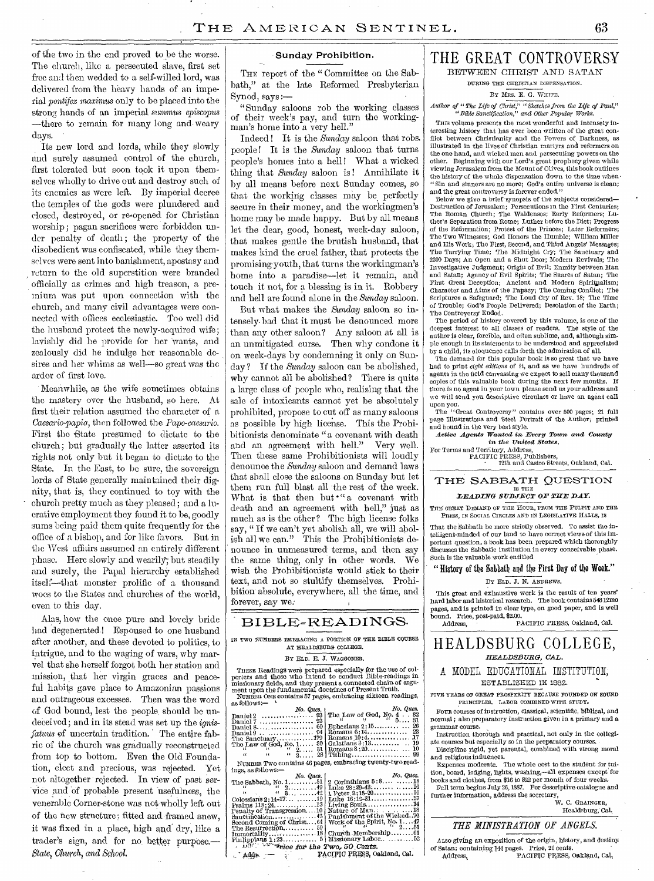of the two in the end proved to be the worse. The church, like a persecuted slave, first set free and then wedded to a self-willed lord, was delivered from the heavy hands of an imperial *pontifex maximus* only to be placed into the strong hands of an imperial summus episcopus —there to remain for many long and weary days.

Its new lord and lords, while they slowly and surely assumed control of the church, -first tolerated but soon took it upon themselves wholly to drive out and destroy such of its enemies as were left. By imperial decree the temples of the gods were plundered and closed, destroyed, or re-opened for Christian worship ; pagan sacrifices were forbidden under penalty of death; the property of the disobedient was confiscated, while they themselves were sent into banishment, apostasy and return to the old superstition were branded officially as crimes and high treason, a premium was put upon connection with the church, and many civil advantages were connected with offices ecclesiastic. Too well did the husband protect the newly-acquired wife; lavishly did he provide for her wants, and zealously did he indulge her reasonable desires and her whims as well—so great was the ardor of first love.

Meanwhile, as the wife sometimes obtains the mastery over the husband, so here. At first their relation assumed the character of a *Caesarlo-papia,* then followed the *Papo-caesario.*  First the State presumed to dictate to the church; but gradually the latter asserted its rights not only but it began to dictate to the State. In the East, to be sure, the sovereign lords of State generally maintained their dignity, that is, they continued to toy with the church pretty much as they pleased; and a lucrative employment they found it to be, goodly sums being paid them quite frequently for the office of a bishop, and for like favors. But in the West affairs assumed an entirely different phase. Here slowly and wearily; but steadily and surely, the Papal hierarchy established itself-that monster prolific of a thousand woes to the States and churches of the world, even to this day.

Alas, how the once pure and lovely bride had degenerated! Espoused to one husband after another, and these devoted to politics, to intrigue, and to the waging of wars, why marvel that she herself forgot both her station and mission, that her virgin graces and peaceful habits gave place to Amazonian passions and outrageous excesses. Then was the word of God bound, lest the people, should be undeceived; and in its stead was set up the *ignis*fatuus of uncertain tradition. The entire fabric of the church was gradually reconstructed from top to bottom. Even the Old Foundation, elect and precious, was rejected. Yet not altogether rejected. In view of past service and of probable present usefulness, the venerable Corner-stone was not wholly left out of the new structure; fitted and framed anew, it was fixed in a place, high and dry, like a trader's sign, and for no better purpose.— State, Church, and School.

#### Sunday Prohibition.

THE report of the "Committee on the Sabbath," at the late Reformed Presbyterian Synod, says :—

"Sunday saloons rob the working classes of their week's pay, and turn the workingman's home into a very hell."

Indeed ! It is the *Sunday* saloon that robs. people! It is the *Sunday* saloon that turns people's homes into a hell! What a wicked thing that *Sunday* saloon is ! Annihilate it by all means before next Sunday comes, so that the working classes may be perfectly secure in their money, and the workingmen's home may be made happy. But by all means let the dear, good, honest, week-day saloon, that makes gentle the brutish husband, that makes kind the cruel father, that protects the promising-youth, that turns the workingman's home into a paradise—let it remain, and touch it not, for a blessing is in it. Robbery and hell are found alone in the *Sunday* saloon.

But what makes the *Sunday* saloon so intensely. bad that it must be denounced more than any other saloon? Any saloon at all is an unmitigated curse. Then why condone it on week-days by condemning it only on Sunday? If the *Sunday* saloon can be abolished, why cannot all be abolished? There is quite a large class of people who, realizing that the sale of intoxicants cannot yet be absolutely prohibited, propose to cut off as many saloons as possible by high license. This the Prohibitionists denominate "a covenant with death and an agreement with hell." Very well. Then these same Prohibitionists will loudly denounce the *Sunday* saloon and demand laws that shall close the saloons on Sunday but let them run full blast all 'the rest of the week. What is that then but "a covenant with death and an agreement with hell," just as much as is the other? The high license folks say, " If we can't yet abolish all, we will abolish all we can." This the Prohibitionists denounce in unmeasured terms, and then say the same thing, only in other words. We wish the Prohibitionists would stick to their text, and not so stultify themselves. Prohibition absolute, everywhere, all the time, and forever, say we:

# BIBLE—READINGS.

IN TWO NUMBERS EMBRACING A PORTION OF THE BIBLE COURSE AT HEALDSBURG COLLEGE.

#### BY ELD. E. J. WAGGONER.

THESE Readings were prepared especially for the use of colporters and those who intend to conduct Bible-readings in missionary fields, and they present a connected chain of argument upon the fundamental doctrines of Presen

|                                                                                                                                                                                                                                                                                                                    |             | No. Ques.                                                                                         |
|--------------------------------------------------------------------------------------------------------------------------------------------------------------------------------------------------------------------------------------------------------------------------------------------------------------------|-------------|---------------------------------------------------------------------------------------------------|
|                                                                                                                                                                                                                                                                                                                    |             | No. Ques.<br>$\ldots$ 93 The Law of God, No. 4 32<br>$\ldots$ 93 The $\ldots$ aw of God, No. 4 32 |
| Daniel 7  93                                                                                                                                                                                                                                                                                                       |             |                                                                                                   |
|                                                                                                                                                                                                                                                                                                                    |             |                                                                                                   |
| Daniel 9 $\ldots$ $\ldots$ $\ldots$ $\ldots$ $\ldots$ $\ldots$ 94                                                                                                                                                                                                                                                  |             |                                                                                                   |
|                                                                                                                                                                                                                                                                                                                    |             |                                                                                                   |
|                                                                                                                                                                                                                                                                                                                    |             |                                                                                                   |
|                                                                                                                                                                                                                                                                                                                    |             |                                                                                                   |
|                                                                                                                                                                                                                                                                                                                    |             |                                                                                                   |
| NUMBER TWO contains 46 pages, embracing twenty-two read-                                                                                                                                                                                                                                                           |             |                                                                                                   |
| ings, as follows:-                                                                                                                                                                                                                                                                                                 |             |                                                                                                   |
|                                                                                                                                                                                                                                                                                                                    |             |                                                                                                   |
|                                                                                                                                                                                                                                                                                                                    |             | No. Ques.                                                                                         |
|                                                                                                                                                                                                                                                                                                                    | No. Ques. 1 | 2 Corinthians $5:8$ $18$                                                                          |
| The Sabbath, No. $1, \ldots, 51$<br>$(1, 2, \ldots, 49)$                                                                                                                                                                                                                                                           |             | Luke $28:39-43 \ldots  16$                                                                        |
|                                                                                                                                                                                                                                                                                                                    |             | $1$ Peter $8:18-20$ 10                                                                            |
| $\begin{array}{c}\n\alpha \\ \alpha \\ \vdots \\ \alpha\n\end{array}$ $\begin{array}{c}\n\alpha \\ \alpha \\ \vdots \\ \alpha\n\end{array}$ $\begin{array}{c}\n\alpha \\ \alpha \\ \vdots \\ \alpha\n\end{array}$ $\begin{array}{c}\n\alpha \\ \alpha \\ \vdots \\ \alpha\n\end{array}$<br>Colossians $2:14-17$ 19 |             | Luke $16:19-31$ 37                                                                                |
|                                                                                                                                                                                                                                                                                                                    |             |                                                                                                   |
|                                                                                                                                                                                                                                                                                                                    |             |                                                                                                   |
|                                                                                                                                                                                                                                                                                                                    |             | Punishment of the Wicked70                                                                        |
| Second Coming of Christ $64$                                                                                                                                                                                                                                                                                       |             | Work of the Spirit, No. $147$<br>$251$                                                            |

Execution  $\begin{bmatrix}\n\text{F1} & \text{F2} & \text{F3} \\
\text{F1} & \text{F2} & \text{F4} \\
\text{F2} & \text{F5} & \text{F6} \\
\text{F3} & \text{F4} & \text{F5} \\
\text{F4} & \text{F5} & \text{F6} \\
\text{F6} & \text{F7} & \text{F8} \\
\text{F7} & \text{F8} & \text{F8} \\
\text{F8} & \text{F9} & \text{F9} \\
\text{F9} & \text{F9} & \text{F9} \\
\text{F9} & \text{F9} &$ 

*Addi* **PACIFIC PRESS**, Oakland, Cal.

# THE GREAT CONTROVERSY BETWEEN CHRIST AND SATAN

DURING THE CHRISTIAN DISPENSATION.

## BY MRS. E. G. WHITE.

*Author of "The Life of Christ," "Sketches from, the Life of Red," "Bible Sanctification," and Other Popular Works.* 

THIS volume presents the most wonderful and intensely interesting history that has ever been written of the great con-flict between Christianity and the Powers of Darkness, as illustrated in the lives of Christian martyrs and reformers on the one hand, and wicked men and persecuting powers on the other. Beginning with our Lord's great prophecy given while viewing Jerusalem from the Mount of Olives, this book outlines the history of the whole dispensation down to the time when- "Sin and sinners are no more; God's entire universe is clean; and the great controversy is forever ended."

Below we give a brief synopsis of the subjects considered— Destruction of Jerusalem; Persecutions in the First Centuries; The Roman Church; The Waldenses; Early Reformers; Luther's Separation from Rome; Luther before the Diet; Progress of the Reformation; Protest of the Princes; Later Reformers; The Two Witnesses; God Honors the Humble; William Miller and His Work; The First, Second, and Third Angels' Messages; The Tarrying Time; The Midnight Cry; The Sanctuary and 2300 Days; An Open and a Shut Door; Modern Revivals; The Investigative Judgment; Origin of Evil; Enmity between Man and Satan; Agency of Evil Spirits; The Snares of Satan; The First Great Deception; Ancient and Modern Spiritualism; Character and Aims of the Papacy; The Coming Conflict; The Scriptures a Safeguard; The Loud Cry of Rev. 18; The Time of Trouble; God's People Delivered; Desolation of the Earth; The Controversy Ended.

The period of history covered by this volume, is one of the deepest interest to all classes of readers. The style of the author is clear, forcible, and often sublime, and, although simple enough in its statements to be understood and appreciated by a child, its eloquence calls forth the admiration of all.

The demand for this popular book is so great that we have had to print *eight editions* of it, and as we have hundreds of agents in the field canvassing we expect to sell many thousand copies of this valuable book during the next few months. If there is no agent in your town please send us your address and we will send you descriptive circulars or have an agent call

upon you. The "Great Controversy" contains over 500 pages; 21 full page Illustrations and Steel Portrait of the Author; printed and bound in the very best style.

*Active Agents Wanted in \_Every Town and County in the United States.* 

For Terms and Territory, Address, PACIFIC PRESS, Publishers, 12th and Castro Streets, Oakland, Cal.

#### THE SABBATH QUESTION IS THE

# *1,EADING SUBJECT OF THE DAY.*

THE GREAT DEMAND OF THE HOUR, FROM THE PULPIT AND THE PRESS, IN SOCIAL CIRCLES AND IN LEGISLATIVE HALLS, IS

That the Sabbath be more strictly observed. To assist the intelligent-minded of our land to have correct viewsof this important question, a book has been prepared which thoroughly discusses the Sabbatic institution in every conceivable phase. Such is the valuable work entitled

# " History of the Sabbath and the First Day of the Week."

BY ELD. J. N. ANDREWS.

This great and exhaustive work is the result of ten years' hard labor and historical research. The book contains 548 12mo pages, and is printed in clear type, on good paper, and is well bound. Price, post-paid, \$2.00.

PACIFIC PRESS, Oakland, Cal.

# HEALDSBURG COLLEGE, *HEALDSBURG, CAL.*

A MODEL EDUCATIONAL INSTITUTION, ESTABLISHED IN 1662.

FIVE YEARS OF GREAT PROSPERITY BECAUSE FOUNDED ON SOUND PRINCIPLES. LABOR COMBINED WITH STUDY.

FOUR courses of instruction, classical, scientific, biblical, and normal ; also preparatory instruction given in a primary and a grammar course.

Instruction thorough and practical, not only in the collegiate courses but especially so in the preparatory courses. Discipline rigid, yet parental, combined with strong moral

and religious influences. Expenses moderate. The whole cost to the student for tuition, board, lodging, lights, washing,—all expenses except for

books and clothes, from \$16 to \$22 per month of four weeks. Fall term begins July 26, 1887. For descriptive catalogue and further information, address the secretary,

W. C. GRAINGER, Hcaldsburg, Cal.

# *THE MINISTRATION OF ANGELS.*

ALSO giving an exposition of the origin, history, and destiny of Satan; containing 144 pages. Price, 20 cents. PACIFIC PRESS, Oakland, Cal,